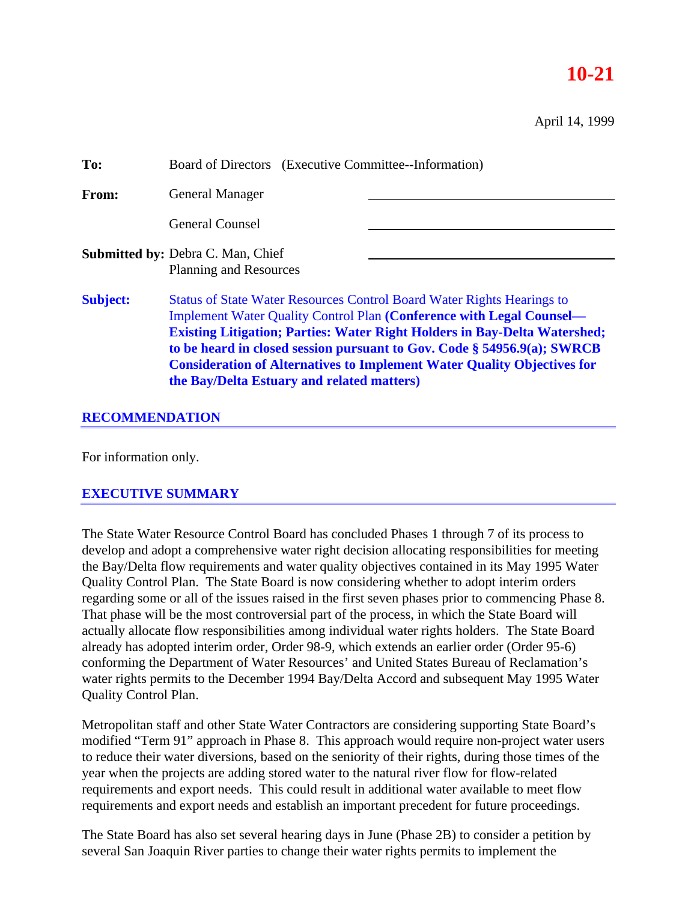# **10-21**

April 14, 1999

| To:             | Board of Directors (Executive Committee--Information)                                                                                                                                                                                                                                                                                                                                                                                                       |  |
|-----------------|-------------------------------------------------------------------------------------------------------------------------------------------------------------------------------------------------------------------------------------------------------------------------------------------------------------------------------------------------------------------------------------------------------------------------------------------------------------|--|
| From:           | <b>General Manager</b>                                                                                                                                                                                                                                                                                                                                                                                                                                      |  |
|                 | <b>General Counsel</b>                                                                                                                                                                                                                                                                                                                                                                                                                                      |  |
|                 | <b>Submitted by: Debra C. Man, Chief</b><br><b>Planning and Resources</b>                                                                                                                                                                                                                                                                                                                                                                                   |  |
| <b>Subject:</b> | <b>Status of State Water Resources Control Board Water Rights Hearings to</b><br><b>Implement Water Quality Control Plan (Conference with Legal Counsel—</b><br><b>Existing Litigation; Parties: Water Right Holders in Bay-Delta Watershed;</b><br>to be heard in closed session pursuant to Gov. Code § 54956.9(a); SWRCB<br><b>Consideration of Alternatives to Implement Water Quality Objectives for</b><br>the Bay/Delta Estuary and related matters) |  |

## **RECOMMENDATION**

For information only.

## **EXECUTIVE SUMMARY**

The State Water Resource Control Board has concluded Phases 1 through 7 of its process to develop and adopt a comprehensive water right decision allocating responsibilities for meeting the Bay/Delta flow requirements and water quality objectives contained in its May 1995 Water Quality Control Plan. The State Board is now considering whether to adopt interim orders regarding some or all of the issues raised in the first seven phases prior to commencing Phase 8. That phase will be the most controversial part of the process, in which the State Board will actually allocate flow responsibilities among individual water rights holders. The State Board already has adopted interim order, Order 98-9, which extends an earlier order (Order 95-6) conforming the Department of Water Resources' and United States Bureau of Reclamation's water rights permits to the December 1994 Bay/Delta Accord and subsequent May 1995 Water Quality Control Plan.

Metropolitan staff and other State Water Contractors are considering supporting State Board's modified "Term 91" approach in Phase 8. This approach would require non-project water users to reduce their water diversions, based on the seniority of their rights, during those times of the year when the projects are adding stored water to the natural river flow for flow-related requirements and export needs. This could result in additional water available to meet flow requirements and export needs and establish an important precedent for future proceedings.

The State Board has also set several hearing days in June (Phase 2B) to consider a petition by several San Joaquin River parties to change their water rights permits to implement the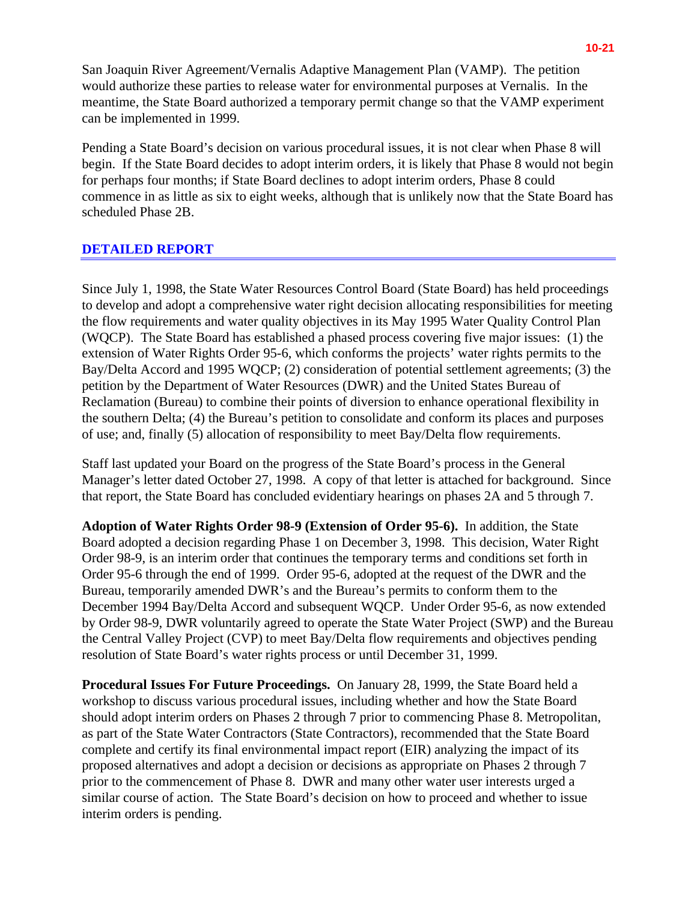San Joaquin River Agreement/Vernalis Adaptive Management Plan (VAMP). The petition would authorize these parties to release water for environmental purposes at Vernalis. In the meantime, the State Board authorized a temporary permit change so that the VAMP experiment can be implemented in 1999.

Pending a State Board's decision on various procedural issues, it is not clear when Phase 8 will begin. If the State Board decides to adopt interim orders, it is likely that Phase 8 would not begin for perhaps four months; if State Board declines to adopt interim orders, Phase 8 could commence in as little as six to eight weeks, although that is unlikely now that the State Board has scheduled Phase 2B.

#### **DETAILED REPORT**

Since July 1, 1998, the State Water Resources Control Board (State Board) has held proceedings to develop and adopt a comprehensive water right decision allocating responsibilities for meeting the flow requirements and water quality objectives in its May 1995 Water Quality Control Plan (WQCP). The State Board has established a phased process covering five major issues: (1) the extension of Water Rights Order 95-6, which conforms the projects' water rights permits to the Bay/Delta Accord and 1995 WQCP; (2) consideration of potential settlement agreements; (3) the petition by the Department of Water Resources (DWR) and the United States Bureau of Reclamation (Bureau) to combine their points of diversion to enhance operational flexibility in the southern Delta; (4) the Bureau's petition to consolidate and conform its places and purposes of use; and, finally (5) allocation of responsibility to meet Bay/Delta flow requirements.

Staff last updated your Board on the progress of the State Board's process in the General Manager's letter dated October 27, 1998. A copy of that letter is attached for background. Since that report, the State Board has concluded evidentiary hearings on phases 2A and 5 through 7.

**Adoption of Water Rights Order 98-9 (Extension of Order 95-6).** In addition, the State Board adopted a decision regarding Phase 1 on December 3, 1998. This decision, Water Right Order 98-9, is an interim order that continues the temporary terms and conditions set forth in Order 95-6 through the end of 1999. Order 95-6, adopted at the request of the DWR and the Bureau, temporarily amended DWR's and the Bureau's permits to conform them to the December 1994 Bay/Delta Accord and subsequent WQCP. Under Order 95-6, as now extended by Order 98-9, DWR voluntarily agreed to operate the State Water Project (SWP) and the Bureau the Central Valley Project (CVP) to meet Bay/Delta flow requirements and objectives pending resolution of State Board's water rights process or until December 31, 1999.

**Procedural Issues For Future Proceedings.** On January 28, 1999, the State Board held a workshop to discuss various procedural issues, including whether and how the State Board should adopt interim orders on Phases 2 through 7 prior to commencing Phase 8. Metropolitan, as part of the State Water Contractors (State Contractors), recommended that the State Board complete and certify its final environmental impact report (EIR) analyzing the impact of its proposed alternatives and adopt a decision or decisions as appropriate on Phases 2 through 7 prior to the commencement of Phase 8. DWR and many other water user interests urged a similar course of action. The State Board's decision on how to proceed and whether to issue interim orders is pending.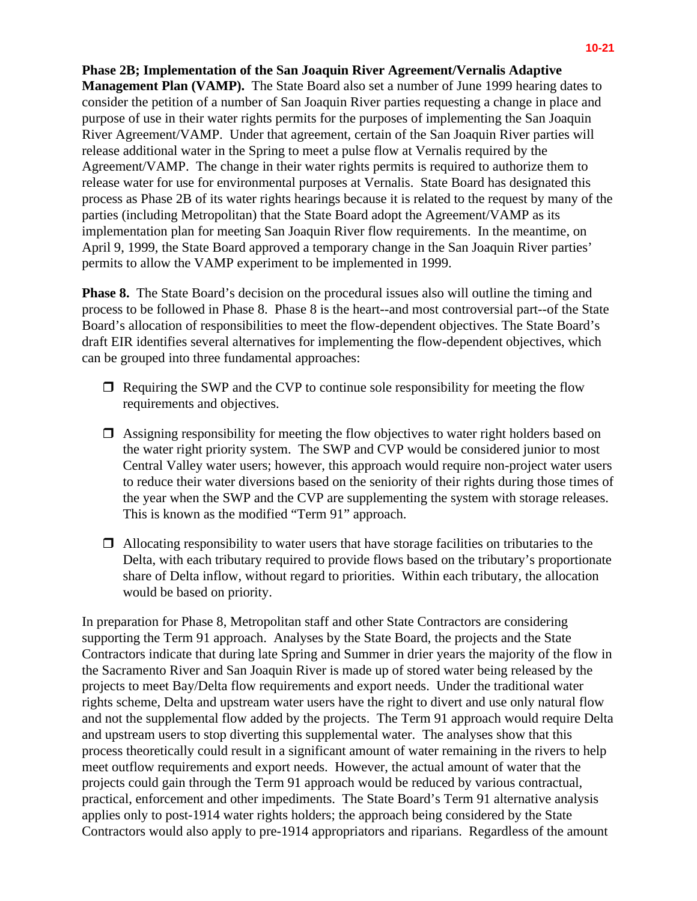**Management Plan (VAMP).** The State Board also set a number of June 1999 hearing dates to consider the petition of a number of San Joaquin River parties requesting a change in place and purpose of use in their water rights permits for the purposes of implementing the San Joaquin River Agreement/VAMP. Under that agreement, certain of the San Joaquin River parties will release additional water in the Spring to meet a pulse flow at Vernalis required by the Agreement/VAMP. The change in their water rights permits is required to authorize them to release water for use for environmental purposes at Vernalis. State Board has designated this process as Phase 2B of its water rights hearings because it is related to the request by many of the parties (including Metropolitan) that the State Board adopt the Agreement/VAMP as its implementation plan for meeting San Joaquin River flow requirements. In the meantime, on April 9, 1999, the State Board approved a temporary change in the San Joaquin River parties' permits to allow the VAMP experiment to be implemented in 1999.

**Phase 8.** The State Board's decision on the procedural issues also will outline the timing and process to be followed in Phase 8. Phase 8 is the heart--and most controversial part--of the State Board's allocation of responsibilities to meet the flow-dependent objectives. The State Board's draft EIR identifies several alternatives for implementing the flow-dependent objectives, which can be grouped into three fundamental approaches:

- $\Box$  Requiring the SWP and the CVP to continue sole responsibility for meeting the flow requirements and objectives.
- $\Box$  Assigning responsibility for meeting the flow objectives to water right holders based on the water right priority system. The SWP and CVP would be considered junior to most Central Valley water users; however, this approach would require non-project water users to reduce their water diversions based on the seniority of their rights during those times of the year when the SWP and the CVP are supplementing the system with storage releases. This is known as the modified "Term 91" approach.
- $\Box$  Allocating responsibility to water users that have storage facilities on tributaries to the Delta, with each tributary required to provide flows based on the tributary's proportionate share of Delta inflow, without regard to priorities. Within each tributary, the allocation would be based on priority.

In preparation for Phase 8, Metropolitan staff and other State Contractors are considering supporting the Term 91 approach. Analyses by the State Board, the projects and the State Contractors indicate that during late Spring and Summer in drier years the majority of the flow in the Sacramento River and San Joaquin River is made up of stored water being released by the projects to meet Bay/Delta flow requirements and export needs. Under the traditional water rights scheme, Delta and upstream water users have the right to divert and use only natural flow and not the supplemental flow added by the projects. The Term 91 approach would require Delta and upstream users to stop diverting this supplemental water. The analyses show that this process theoretically could result in a significant amount of water remaining in the rivers to help meet outflow requirements and export needs. However, the actual amount of water that the projects could gain through the Term 91 approach would be reduced by various contractual, practical, enforcement and other impediments. The State Board's Term 91 alternative analysis applies only to post-1914 water rights holders; the approach being considered by the State Contractors would also apply to pre-1914 appropriators and riparians. Regardless of the amount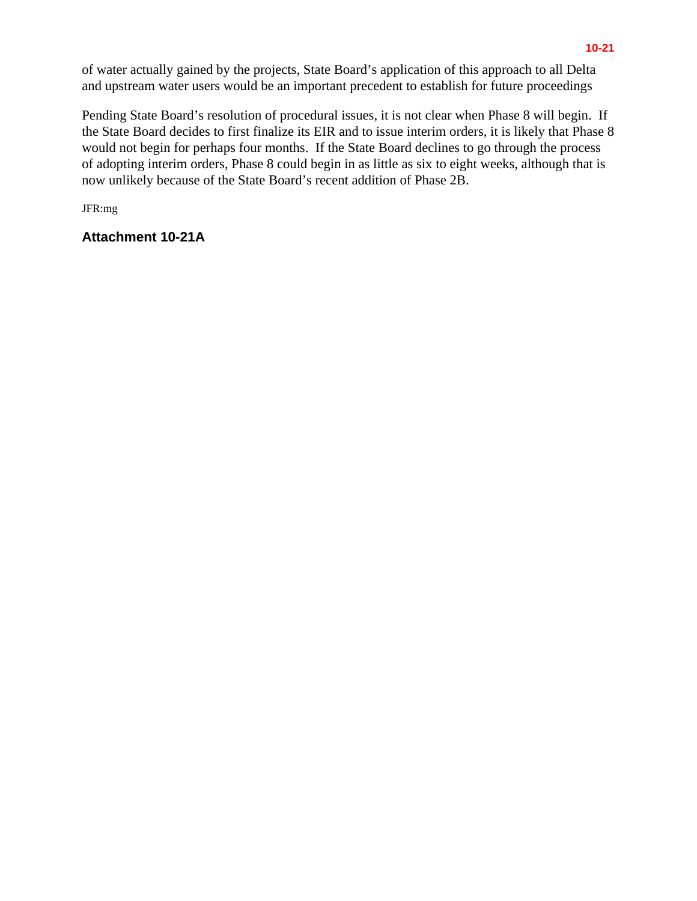of water actually gained by the projects, State Board's application of this approach to all Delta and upstream water users would be an important precedent to establish for future proceedings

Pending State Board's resolution of procedural issues, it is not clear when Phase 8 will begin. If the State Board decides to first finalize its EIR and to issue interim orders, it is likely that Phase 8 would not begin for perhaps four months. If the State Board declines to go through the process of adopting interim orders, Phase 8 could begin in as little as six to eight weeks, although that is now unlikely because of the State Board's recent addition of Phase 2B.

JFR:mg

**Attachment 10-21A**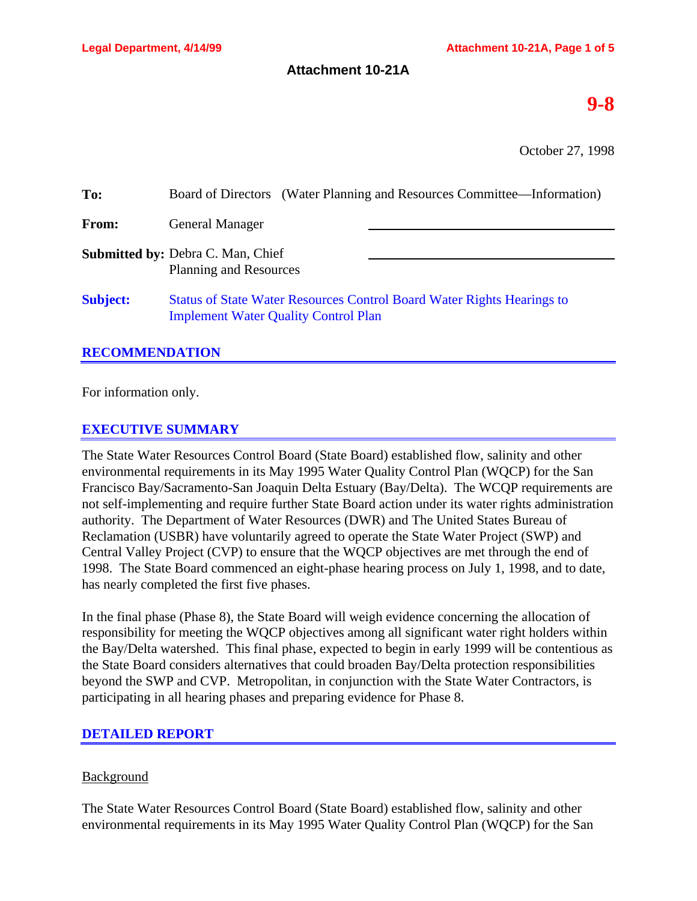#### **Attachment 10-21A**

# **9-8**

October 27, 1998

| To:             | Board of Directors (Water Planning and Resources Committee—Information)                                                      |  |
|-----------------|------------------------------------------------------------------------------------------------------------------------------|--|
| From:           | <b>General Manager</b>                                                                                                       |  |
|                 | <b>Submitted by: Debra C. Man, Chief</b><br><b>Planning and Resources</b>                                                    |  |
| <b>Subject:</b> | <b>Status of State Water Resources Control Board Water Rights Hearings to</b><br><b>Implement Water Quality Control Plan</b> |  |

## **RECOMMENDATION**

For information only.

## **EXECUTIVE SUMMARY**

The State Water Resources Control Board (State Board) established flow, salinity and other environmental requirements in its May 1995 Water Quality Control Plan (WQCP) for the San Francisco Bay/Sacramento-San Joaquin Delta Estuary (Bay/Delta). The WCQP requirements are not self-implementing and require further State Board action under its water rights administration authority. The Department of Water Resources (DWR) and The United States Bureau of Reclamation (USBR) have voluntarily agreed to operate the State Water Project (SWP) and Central Valley Project (CVP) to ensure that the WQCP objectives are met through the end of 1998. The State Board commenced an eight-phase hearing process on July 1, 1998, and to date, has nearly completed the first five phases.

In the final phase (Phase 8), the State Board will weigh evidence concerning the allocation of responsibility for meeting the WQCP objectives among all significant water right holders within the Bay/Delta watershed. This final phase, expected to begin in early 1999 will be contentious as the State Board considers alternatives that could broaden Bay/Delta protection responsibilities beyond the SWP and CVP. Metropolitan, in conjunction with the State Water Contractors, is participating in all hearing phases and preparing evidence for Phase 8.

## **DETAILED REPORT**

## Background

The State Water Resources Control Board (State Board) established flow, salinity and other environmental requirements in its May 1995 Water Quality Control Plan (WQCP) for the San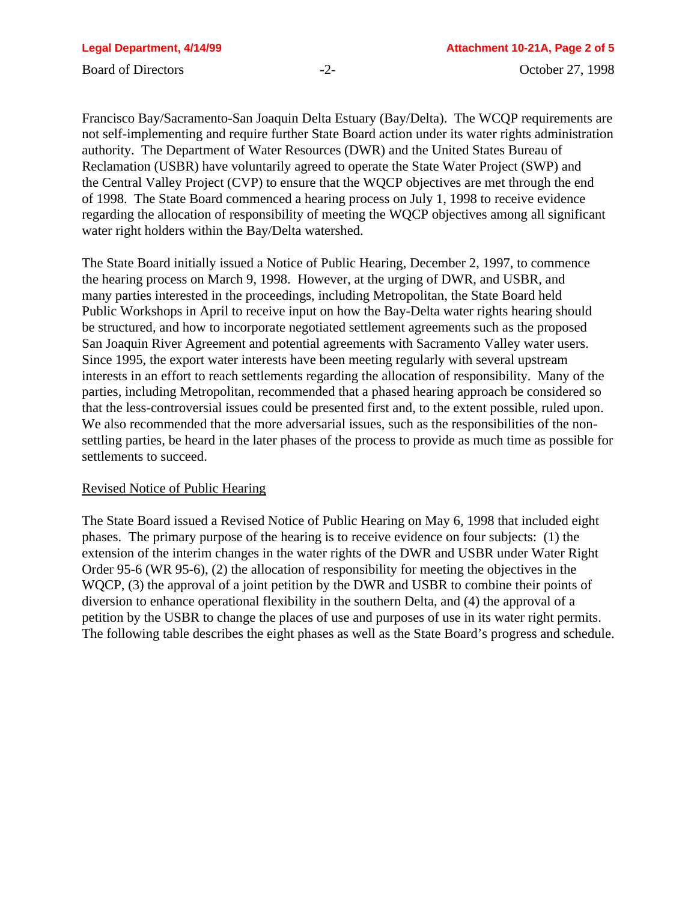Francisco Bay/Sacramento-San Joaquin Delta Estuary (Bay/Delta). The WCQP requirements are not self-implementing and require further State Board action under its water rights administration authority. The Department of Water Resources (DWR) and the United States Bureau of Reclamation (USBR) have voluntarily agreed to operate the State Water Project (SWP) and the Central Valley Project (CVP) to ensure that the WQCP objectives are met through the end of 1998. The State Board commenced a hearing process on July 1, 1998 to receive evidence regarding the allocation of responsibility of meeting the WQCP objectives among all significant water right holders within the Bay/Delta watershed.

The State Board initially issued a Notice of Public Hearing, December 2, 1997, to commence the hearing process on March 9, 1998. However, at the urging of DWR, and USBR, and many parties interested in the proceedings, including Metropolitan, the State Board held Public Workshops in April to receive input on how the Bay-Delta water rights hearing should be structured, and how to incorporate negotiated settlement agreements such as the proposed San Joaquin River Agreement and potential agreements with Sacramento Valley water users. Since 1995, the export water interests have been meeting regularly with several upstream interests in an effort to reach settlements regarding the allocation of responsibility. Many of the parties, including Metropolitan, recommended that a phased hearing approach be considered so that the less-controversial issues could be presented first and, to the extent possible, ruled upon. We also recommended that the more adversarial issues, such as the responsibilities of the nonsettling parties, be heard in the later phases of the process to provide as much time as possible for settlements to succeed.

#### Revised Notice of Public Hearing

The State Board issued a Revised Notice of Public Hearing on May 6, 1998 that included eight phases. The primary purpose of the hearing is to receive evidence on four subjects: (1) the extension of the interim changes in the water rights of the DWR and USBR under Water Right Order 95-6 (WR 95-6), (2) the allocation of responsibility for meeting the objectives in the WQCP, (3) the approval of a joint petition by the DWR and USBR to combine their points of diversion to enhance operational flexibility in the southern Delta, and (4) the approval of a petition by the USBR to change the places of use and purposes of use in its water right permits. The following table describes the eight phases as well as the State Board's progress and schedule.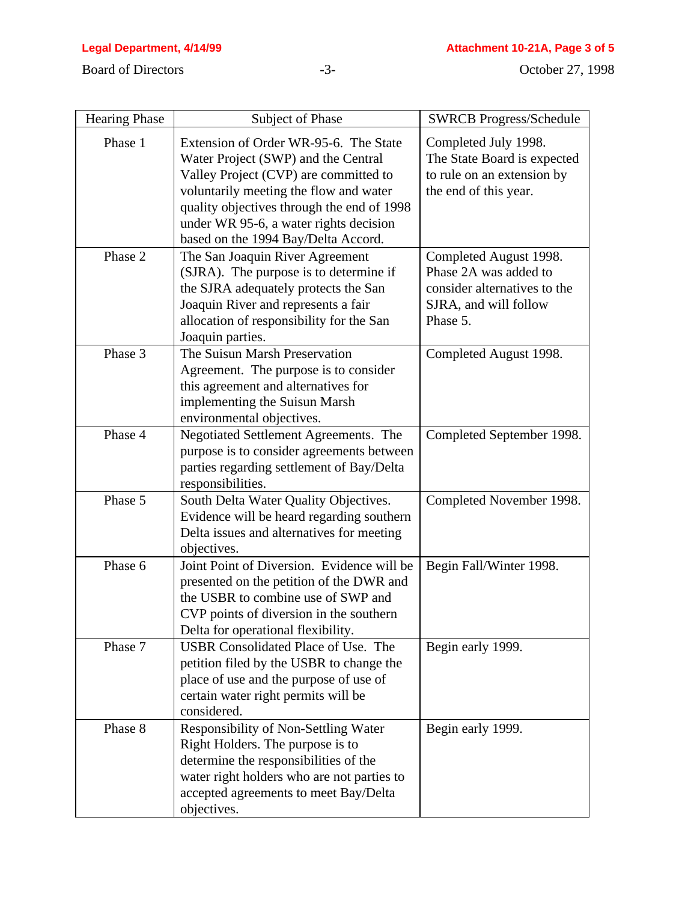| <b>Hearing Phase</b> | Subject of Phase                                                                                                                                                                                                                                                                               | <b>SWRCB Progress/Schedule</b>                                                                                       |
|----------------------|------------------------------------------------------------------------------------------------------------------------------------------------------------------------------------------------------------------------------------------------------------------------------------------------|----------------------------------------------------------------------------------------------------------------------|
| Phase 1              | Extension of Order WR-95-6. The State<br>Water Project (SWP) and the Central<br>Valley Project (CVP) are committed to<br>voluntarily meeting the flow and water<br>quality objectives through the end of 1998<br>under WR 95-6, a water rights decision<br>based on the 1994 Bay/Delta Accord. | Completed July 1998.<br>The State Board is expected<br>to rule on an extension by<br>the end of this year.           |
| Phase 2              | The San Joaquin River Agreement<br>(SJRA). The purpose is to determine if<br>the SJRA adequately protects the San<br>Joaquin River and represents a fair<br>allocation of responsibility for the San<br>Joaquin parties.                                                                       | Completed August 1998.<br>Phase 2A was added to<br>consider alternatives to the<br>SJRA, and will follow<br>Phase 5. |
| Phase 3              | The Suisun Marsh Preservation<br>Agreement. The purpose is to consider<br>this agreement and alternatives for<br>implementing the Suisun Marsh<br>environmental objectives.                                                                                                                    | Completed August 1998.                                                                                               |
| Phase 4              | Negotiated Settlement Agreements. The<br>purpose is to consider agreements between<br>parties regarding settlement of Bay/Delta<br>responsibilities.                                                                                                                                           | Completed September 1998.                                                                                            |
| Phase 5              | South Delta Water Quality Objectives.<br>Evidence will be heard regarding southern<br>Delta issues and alternatives for meeting<br>objectives.                                                                                                                                                 | Completed November 1998.                                                                                             |
| Phase 6              | Joint Point of Diversion. Evidence will be<br>presented on the petition of the DWR and<br>the USBR to combine use of SWP and<br>CVP points of diversion in the southern<br>Delta for operational flexibility.                                                                                  | Begin Fall/Winter 1998.                                                                                              |
| Phase 7              | USBR Consolidated Place of Use. The<br>petition filed by the USBR to change the<br>place of use and the purpose of use of<br>certain water right permits will be<br>considered.                                                                                                                | Begin early 1999.                                                                                                    |
| Phase 8              | Responsibility of Non-Settling Water<br>Right Holders. The purpose is to<br>determine the responsibilities of the<br>water right holders who are not parties to<br>accepted agreements to meet Bay/Delta<br>objectives.                                                                        | Begin early 1999.                                                                                                    |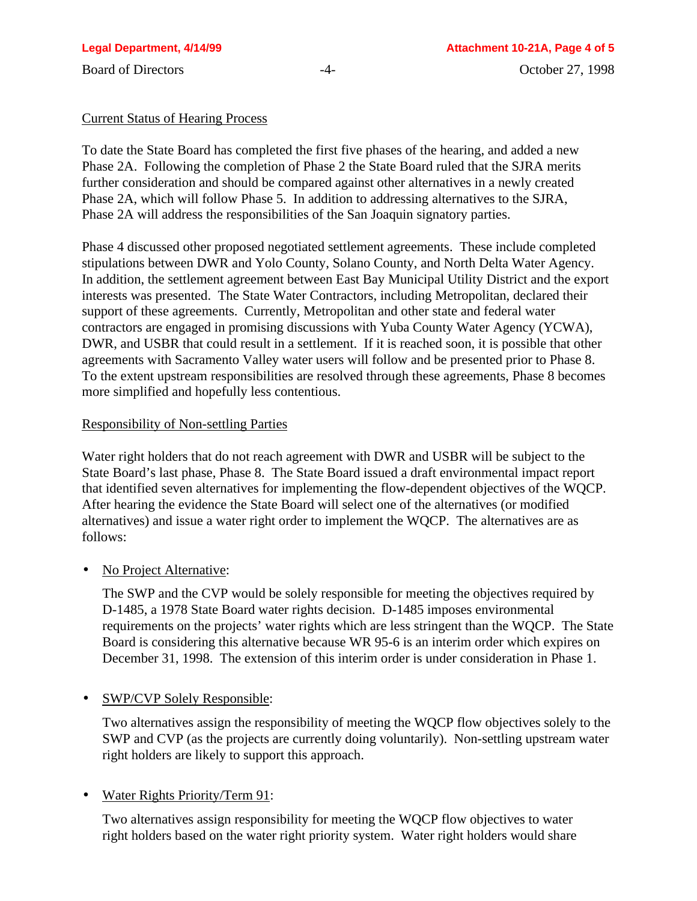#### Current Status of Hearing Process

To date the State Board has completed the first five phases of the hearing, and added a new Phase 2A. Following the completion of Phase 2 the State Board ruled that the SJRA merits further consideration and should be compared against other alternatives in a newly created Phase 2A, which will follow Phase 5. In addition to addressing alternatives to the SJRA, Phase 2A will address the responsibilities of the San Joaquin signatory parties.

Phase 4 discussed other proposed negotiated settlement agreements. These include completed stipulations between DWR and Yolo County, Solano County, and North Delta Water Agency. In addition, the settlement agreement between East Bay Municipal Utility District and the export interests was presented. The State Water Contractors, including Metropolitan, declared their support of these agreements. Currently, Metropolitan and other state and federal water contractors are engaged in promising discussions with Yuba County Water Agency (YCWA), DWR, and USBR that could result in a settlement. If it is reached soon, it is possible that other agreements with Sacramento Valley water users will follow and be presented prior to Phase 8. To the extent upstream responsibilities are resolved through these agreements, Phase 8 becomes more simplified and hopefully less contentious.

#### Responsibility of Non-settling Parties

Water right holders that do not reach agreement with DWR and USBR will be subject to the State Board's last phase, Phase 8. The State Board issued a draft environmental impact report that identified seven alternatives for implementing the flow-dependent objectives of the WQCP. After hearing the evidence the State Board will select one of the alternatives (or modified alternatives) and issue a water right order to implement the WQCP. The alternatives are as follows:

• No Project Alternative:

The SWP and the CVP would be solely responsible for meeting the objectives required by D-1485, a 1978 State Board water rights decision. D-1485 imposes environmental requirements on the projects' water rights which are less stringent than the WQCP. The State Board is considering this alternative because WR 95-6 is an interim order which expires on December 31, 1998. The extension of this interim order is under consideration in Phase 1.

• SWP/CVP Solely Responsible:

Two alternatives assign the responsibility of meeting the WQCP flow objectives solely to the SWP and CVP (as the projects are currently doing voluntarily). Non-settling upstream water right holders are likely to support this approach.

## • Water Rights Priority/Term 91:

Two alternatives assign responsibility for meeting the WQCP flow objectives to water right holders based on the water right priority system. Water right holders would share